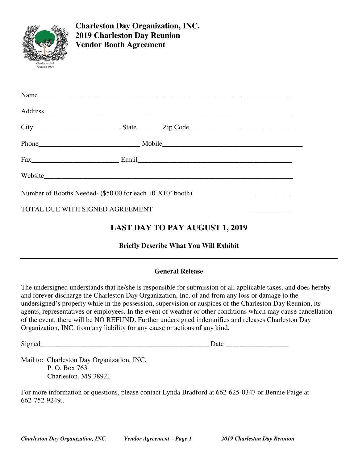

**Charleston Day Organization, INC. 2019 Charleston Day Reunion Vendor Booth Agreement** 

|                                                           | Website                                            |
|-----------------------------------------------------------|----------------------------------------------------|
| Number of Booths Needed- (\$50.00 for each 10'X10' booth) |                                                    |
| TOTAL DUE WITH SIGNED AGREEMENT                           | <u> Linda a Carl Communication de la communica</u> |
|                                                           |                                                    |

# **LAST DAY TO PAY AUGUST 1, 2019**

**Briefly Describe What You Will Exhibit** 

#### **General Release**

The undersigned understands that he/she is responsible for submission of all applicable taxes, and does hereby and forever discharge the Charleston Day Organization, Inc. of and from any loss or damage to the undersigned's property while in the possession, supervision or auspices of the Charleston Day Reunion, its agents, representatives or employees. In the event of weather or other conditions which may cause cancellation of the event, there will be NO REFUND. Further undersigned indemnifies and releases Charleston Day Organization, INC. from any liability for any cause or actions of any kind.

Signed Date  $\Box$ 

Mail to: Charleston Day Organization, INC. P. O. Box 763 Charleston, MS 38921

For more information or questions, please contact Lynda Bradford at 662-625-0347 or Bennie Paige at 662-752-9249..